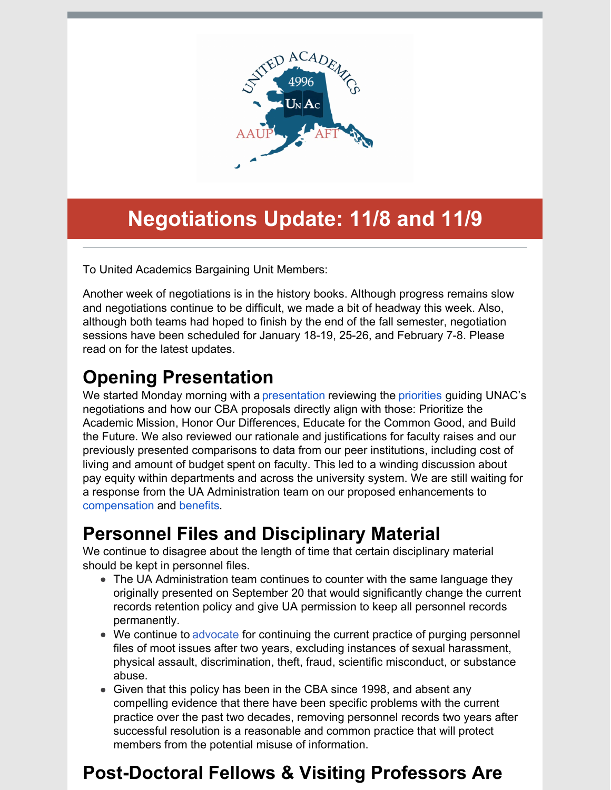

# **Negotiations Update: 11/8 and 11/9**

To United Academics Bargaining Unit Members:

Another week of negotiations is in the history books. Although progress remains slow and negotiations continue to be difficult, we made a bit of headway this week. Also, although both teams had hoped to finish by the end of the fall semester, negotiation sessions have been scheduled for January 18-19, 25-26, and February 7-8. Please read on for the latest updates.

## **Opening Presentation**

We started Monday morning with a [presentation](http://unitedacademics.net/) reviewing the [priorities](http://unitedacademics.net/ra-commitment-to-excellence/) guiding UNAC's negotiations and how our CBA proposals directly align with those: Prioritize the Academic Mission, Honor Our Differences, Educate for the Common Good, and Build the Future. We also reviewed our rationale and justifications for faculty raises and our previously presented comparisons to data from our peer institutions, including cost of living and amount of budget spent on faculty. This led to a winding discussion about pay equity within departments and across the university system. We are still waiting for a response from the UA Administration team on our proposed enhancements to [compensation](http://unitedacademics.net/wp-content/uploads/2021/10/Article-15-UNAC-proposal-10-18.pdf) and [benefits](http://unitedacademics.net/wp-content/uploads/2021/10/Article-16-UNAC-10-19.pdf).

## **Personnel Files and Disciplinary Material**

We continue to disagree about the length of time that certain disciplinary material should be kept in personnel files.

- The UA Administration team continues to counter with the same language they originally presented on September 20 that would significantly change the current records retention policy and give UA permission to keep all personnel records permanently.
- We continue to [advocate](http://unitedacademics.net/wp-content/uploads/2021/11/Article-12-UNAC-counter-11-9.pdf) for continuing the current practice of purging personnel files of moot issues after two years, excluding instances of sexual harassment, physical assault, discrimination, theft, fraud, scientific misconduct, or substance abuse.
- Given that this policy has been in the CBA since 1998, and absent any compelling evidence that there have been specific problems with the current practice over the past two decades, removing personnel records two years after successful resolution is a reasonable and common practice that will protect members from the potential misuse of information.

# **Post-Doctoral Fellows & Visiting Professors Are**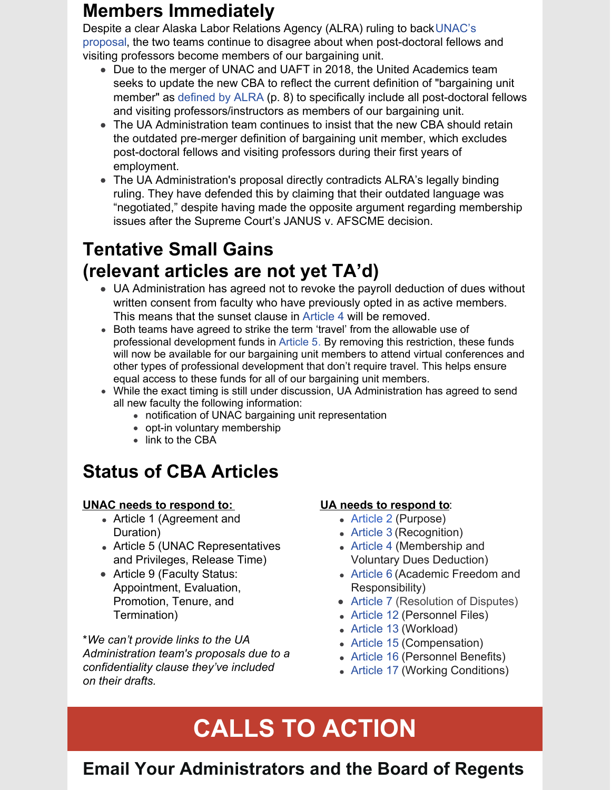### **Members Immediately**

Despite a clear Alaska Labor Relations Agency (ALRA) ruling to back UNAC's proposal, the two teams continue to disagree about when [post-doctoral](http://unitedacademics.net/wp-content/uploads/2021/11/Article-3-UNAC-Counter-11-9.pdf) fellows and visiting professors become members of our bargaining unit.

- Due to the merger of UNAC and UAFT in 2018, the United Academics team seeks to update the new CBA to reflect the current definition of "bargaining unit member" as [defined](https://files.constantcontact.com/4d5d67b2801/b7768dbb-c2c5-4cf5-acd2-e29c31e97af2.pdf) by ALRA (p. 8) to specifically include all post-doctoral fellows and visiting professors/instructors as members of our bargaining unit.
- The UA Administration team continues to insist that the new CBA should retain the outdated pre-merger definition of bargaining unit member, which excludes post-doctoral fellows and visiting professors during their first years of employment.
- The UA Administration's proposal directly contradicts ALRA's legally binding ruling. They have defended this by claiming that their outdated language was "negotiated," despite having made the opposite argument regarding membership issues after the Supreme Court's JANUS v. AFSCME decision.

## **Tentative Small Gains (relevant articles are not yet TA'd)**

- UA Administration has agreed not to revoke the payroll deduction of dues without written consent from faculty who have previously opted in as active members. This means that the sunset clause in [Article](http://unitedacademics.net/wp-content/uploads/2021/11/Article-4-UNAC-Counter-11-9.pdf) 4 will be removed.
- Both teams have agreed to strike the term 'travel' from the allowable use of professional development funds in [Article](http://unitedacademics.net/wp-content/uploads/2021/11/Article-5-UNAC-Counter-11-2.pdf) 5. By removing this restriction, these funds will now be available for our bargaining unit members to attend virtual conferences and other types of professional development that don't require travel. This helps ensure equal access to these funds for all of our bargaining unit members.
- While the exact timing is still under discussion, UA Administration has agreed to send all new faculty the following information:
	- notification of UNAC bargaining unit representation
	- opt-in voluntary membership
	- link to the CBA

## **Status of CBA Articles**

#### **UNAC needs to respond to:**

- Article 1 (Agreement and Duration)
- Article 5 (UNAC Representatives and Privileges, Release Time)
- Article 9 (Faculty Status: Appointment, Evaluation, Promotion, Tenure, and Termination)

\**We can't provide links to the UA Administration team's proposals due to a confidentiality clause they've included on their drafts.*

#### **UA needs to respond to**:

- [Article](http://unitedacademics.net/wp-content/uploads/2021/11/Art-2-UNAC-Counter-10-25-1.pdf) 2 (Purpose)
- [Article](http://unitedacademics.net/wp-content/uploads/2021/11/Article-3-UNAC-Counter-11-9.pdf) 3 (Recognition)
- [Article](http://unitedacademics.net/wp-content/uploads/2021/11/Article-4-UNAC-Counter-11-9.pdf) 4 (Membership and Voluntary Dues Deduction)
- [Article](http://unitedacademics.net/wp-content/uploads/2021/10/Article-6-UNAC-Counter-10-19.pdf) 6 (Academic Freedom and Responsibility)
- [Article](http://unitedacademics.net/wp-content/uploads/2021/11/Article-7-UNAC-counterproposal-11-1.pdf) 7 (Resolution of Disputes)
- [Article](http://unitedacademics.net/wp-content/uploads/2021/11/Article-12-UNAC-counter-11-9.pdf) 12 (Personnel Files)
- [Article](http://unitedacademics.net/wp-content/uploads/2021/11/Article-13-UNAC-Counter-11-1-21.pdf) 13 (Workload)
- [Article](http://unitedacademics.net/wp-content/uploads/2021/10/Article-15-UNAC-proposal-10-18.pdf) 15 (Compensation)
- [Article](http://unitedacademics.net/wp-content/uploads/2021/10/Article-16-UNAC-10-19.pdf) 16 (Personnel Benefits)
- [Article](http://unitedacademics.net/wp-content/uploads/2021/11/Article-17-UNAC-counterproposal-10-26.pdf) 17 (Working Conditions)

# **CALLS TO ACTION**

## **Email Your Administrators and the Board of Regents**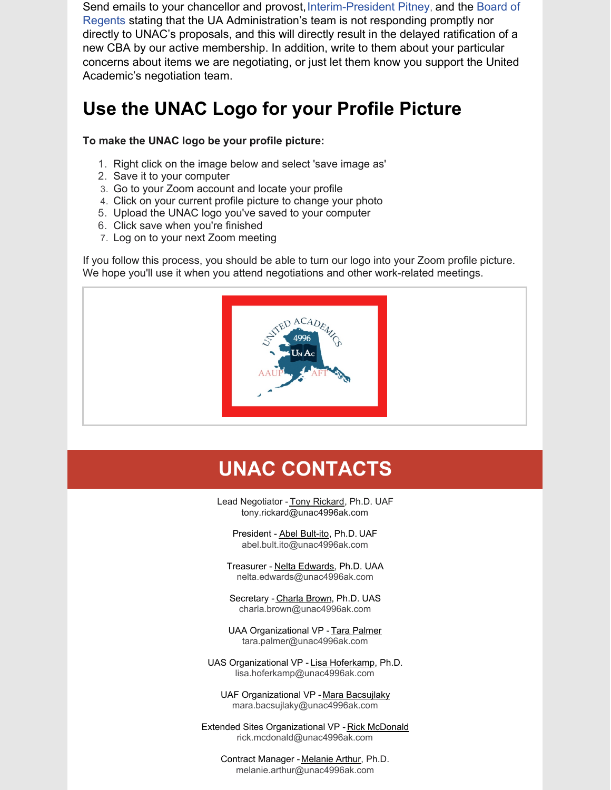Send emails to your chancellor and [provost,](mailto:ua-bor@alaska.edu) [Interim-President](mailto:ua.president@alaska.edu) Pitney, and the Board of Regents stating that the UA Administration's team is not responding promptly nor directly to UNAC's proposals, and this will directly result in the delayed ratification of a new CBA by our active membership. In addition, write to them about your particular concerns about items we are negotiating, or just let them know you support the United Academic's negotiation team.

## **Use the UNAC Logo for your Profile Picture**

#### **To make the UNAC logo be your profile picture:**

- 1. Right click on the image below and select 'save image as'
- 2. Save it to your computer
- 3. Go to your Zoom account and locate your profile
- 4. Click on your current profile picture to change your photo
- 5. Upload the UNAC logo you've saved to your computer
- 6. Click save when you're finished
- 7. Log on to your next Zoom meeting

If you follow this process, you should be able to turn our logo into your Zoom profile picture. We hope you'll use it when you attend negotiations and other work-related meetings.



## **UNAC CONTACTS**

Lead Negotiator - Tony Rickard, Ph.D. UAF tony.rickard@unac4996ak.com

President - Abel [Bult-ito](mailto:abultito@alaska.edu), Ph.D. UAF abel.bult.ito@unac4996ak.com

Treasurer - Nelta [Edwards](mailto:nelta.edwards@alaska.edu), Ph.D. UAA nelta.edwards@unac4996ak.com

Secretary - [Charla](mailto:charla.brown@alaska.edu) Brown, Ph.D. UAS charla.brown@unac4996ak.com

UAA Organizational VP - Tara [Palmer](mailto:tmsmith@alaska.edu) tara.palmer@unac4996ak.com

UAS Organizational VP - Lisa [Hoferkamp](mailto:lisa.hoferkamp@alaska.edu), Ph.D. lisa.hoferkamp@unac4996ak.com

UAF Organizational VP - Mara [Bacsujlaky](mailto:mara.bacsujlaky@alaska.edu) mara.bacsujlaky@unac4996ak.com

Extended Sites Organizational VP - Rick [McDonald](mailto:ramcdonald@alaska.edu) rick.mcdonald@unac4996ak.com

Contract Manager - [Melanie](mailto:melanie.arthur@unac4996ak.com) Arthur, Ph.D. melanie.arthur@unac4996ak.com